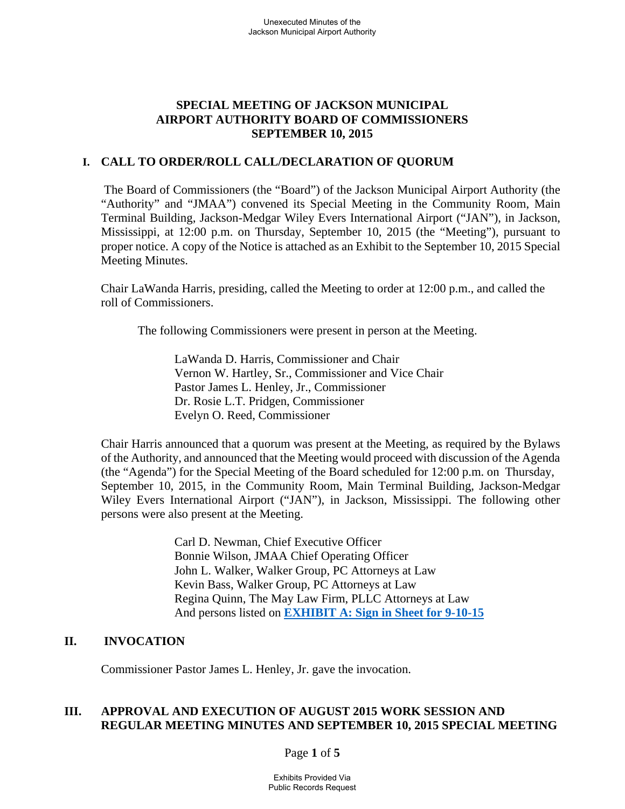## **SPECIAL MEETING OF JACKSON MUNICIPAL AIRPORT AUTHORITY BOARD OF COMMISSIONERS SEPTEMBER 10, 2015**

## **I. CALL TO ORDER/ROLL CALL/DECLARATION OF QUORUM**

 The Board of Commissioners (the "Board") of the Jackson Municipal Airport Authority (the "Authority" and "JMAA") convened its Special Meeting in the Community Room, Main Terminal Building, Jackson-Medgar Wiley Evers International Airport ("JAN"), in Jackson, Mississippi, at 12:00 p.m. on Thursday, September 10, 2015 (the "Meeting"), pursuant to proper notice. A copy of the Notice is attached as an Exhibit to the September 10, 2015 Special Meeting Minutes.

Chair LaWanda Harris, presiding, called the Meeting to order at 12:00 p.m., and called the roll of Commissioners.

The following Commissioners were present in person at the Meeting.

 LaWanda D. Harris, Commissioner and Chair Vernon W. Hartley, Sr., Commissioner and Vice Chair Pastor James L. Henley, Jr., Commissioner Dr. Rosie L.T. Pridgen, Commissioner Evelyn O. Reed, Commissioner

Chair Harris announced that a quorum was present at the Meeting, as required by the Bylaws of the Authority, and announced that the Meeting would proceed with discussion of the Agenda (the "Agenda") for the Special Meeting of the Board scheduled for 12:00 p.m. on Thursday, September 10, 2015, in the Community Room, Main Terminal Building, Jackson-Medgar Wiley Evers International Airport ("JAN"), in Jackson, Mississippi. The following other persons were also present at the Meeting.

> Carl D. Newman, Chief Executive Officer Bonnie Wilson, JMAA Chief Operating Officer John L. Walker, Walker Group, PC Attorneys at Law Kevin Bass, Walker Group, PC Attorneys at Law Regina Quinn, The May Law Firm, PLLC Attorneys at Law And persons listed on **EXHIBIT A: Sign in Sheet for 9-10-15**

# **II. INVOCATION**

Commissioner Pastor James L. Henley, Jr. gave the invocation.

## **III. APPROVAL AND EXECUTION OF AUGUST 2015 WORK SESSION AND REGULAR MEETING MINUTES AND SEPTEMBER 10, 2015 SPECIAL MEETING**

### Page **1** of **5**

Exhibits Provided Via Public Records Request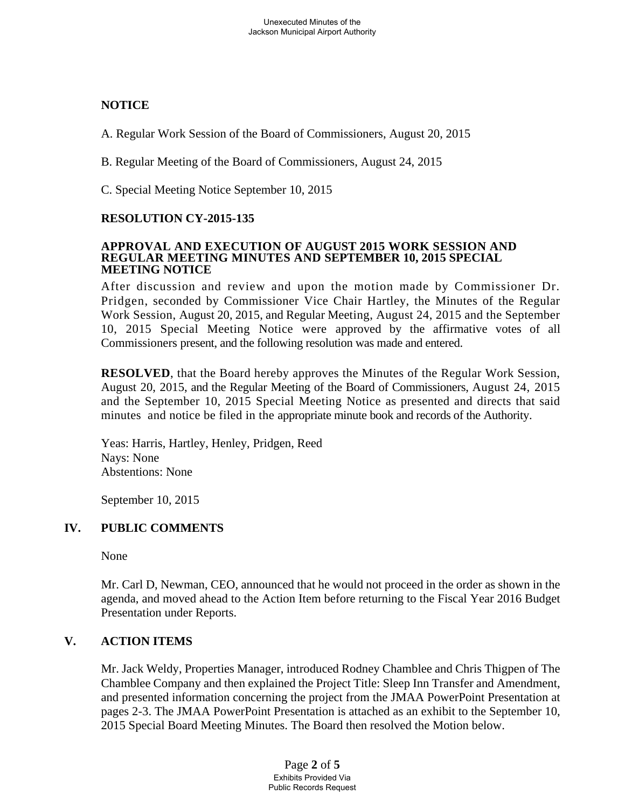## **NOTICE**

A. Regular Work Session of the Board of Commissioners, August 20, 2015

B. Regular Meeting of the Board of Commissioners, August 24, 2015

C. Special Meeting Notice September 10, 2015

# **RESOLUTION CY-2015-135**

#### **APPROVAL AND EXECUTION OF AUGUST 2015 WORK SESSION AND REGULAR MEETING MINUTES AND SEPTEMBER 10, 2015 SPECIAL MEETING NOTICE**

After discussion and review and upon the motion made by Commissioner Dr. Pridgen, seconded by Commissioner Vice Chair Hartley, the Minutes of the Regular Work Session, August 20, 2015, and Regular Meeting, August 24, 2015 and the September 10, 2015 Special Meeting Notice were approved by the affirmative votes of all Commissioners present, and the following resolution was made and entered.

**RESOLVED**, that the Board hereby approves the Minutes of the Regular Work Session, August 20, 2015, and the Regular Meeting of the Board of Commissioners, August 24, 2015 and the September 10, 2015 Special Meeting Notice as presented and directs that said minutes and notice be filed in the appropriate minute book and records of the Authority.

Yeas: Harris, Hartley, Henley, Pridgen, Reed Nays: None Abstentions: None

September 10, 2015

# **IV. PUBLIC COMMENTS**

None

Mr. Carl D, Newman, CEO, announced that he would not proceed in the order as shown in the agenda, and moved ahead to the Action Item before returning to the Fiscal Year 2016 Budget Presentation under Reports.

# **V. ACTION ITEMS**

Mr. Jack Weldy, Properties Manager, introduced Rodney Chamblee and Chris Thigpen of The Chamblee Company and then explained the Project Title: Sleep Inn Transfer and Amendment, and presented information concerning the project from the JMAA PowerPoint Presentation at pages 2-3. The JMAA PowerPoint Presentation is attached as an exhibit to the September 10, 2015 Special Board Meeting Minutes. The Board then resolved the Motion below.

> Page **2** of **5** Exhibits Provided Via Public Records Request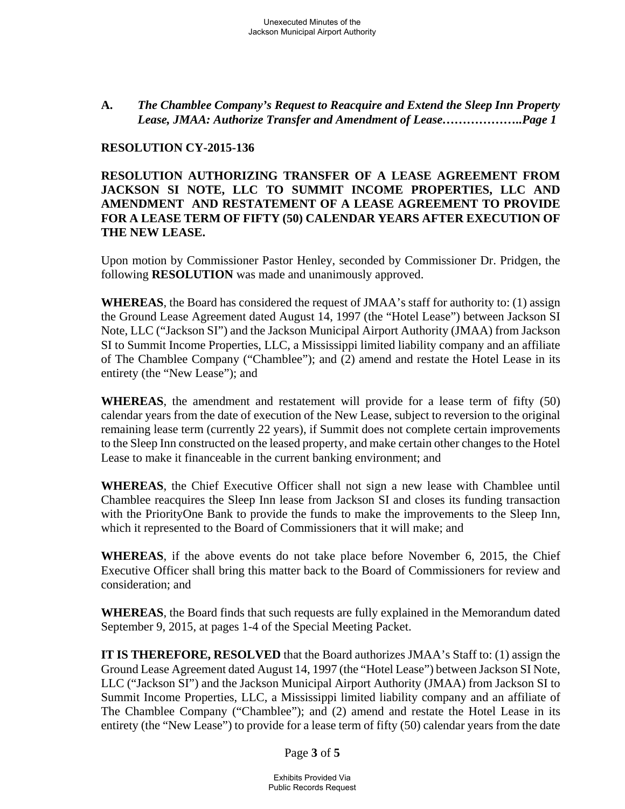## **A.** *The Chamblee Company's Request to Reacquire and Extend the Sleep Inn Property Lease, JMAA: Authorize Transfer and Amendment of Lease………………..Page 1*

### **RESOLUTION CY-2015-136**

## **RESOLUTION AUTHORIZING TRANSFER OF A LEASE AGREEMENT FROM JACKSON SI NOTE, LLC TO SUMMIT INCOME PROPERTIES, LLC AND AMENDMENT AND RESTATEMENT OF A LEASE AGREEMENT TO PROVIDE FOR A LEASE TERM OF FIFTY (50) CALENDAR YEARS AFTER EXECUTION OF THE NEW LEASE.**

Upon motion by Commissioner Pastor Henley, seconded by Commissioner Dr. Pridgen, the following **RESOLUTION** was made and unanimously approved.

**WHEREAS**, the Board has considered the request of JMAA's staff for authority to: (1) assign the Ground Lease Agreement dated August 14, 1997 (the "Hotel Lease") between Jackson SI Note, LLC ("Jackson SI") and the Jackson Municipal Airport Authority (JMAA) from Jackson SI to Summit Income Properties, LLC, a Mississippi limited liability company and an affiliate of The Chamblee Company ("Chamblee"); and (2) amend and restate the Hotel Lease in its entirety (the "New Lease"); and

**WHEREAS**, the amendment and restatement will provide for a lease term of fifty (50) calendar years from the date of execution of the New Lease, subject to reversion to the original remaining lease term (currently 22 years), if Summit does not complete certain improvements to the Sleep Inn constructed on the leased property, and make certain other changes to the Hotel Lease to make it financeable in the current banking environment; and

**WHEREAS**, the Chief Executive Officer shall not sign a new lease with Chamblee until Chamblee reacquires the Sleep Inn lease from Jackson SI and closes its funding transaction with the PriorityOne Bank to provide the funds to make the improvements to the Sleep Inn, which it represented to the Board of Commissioners that it will make; and

**WHEREAS**, if the above events do not take place before November 6, 2015, the Chief Executive Officer shall bring this matter back to the Board of Commissioners for review and consideration; and

**WHEREAS**, the Board finds that such requests are fully explained in the Memorandum dated September 9, 2015, at pages 1-4 of the Special Meeting Packet.

**IT IS THEREFORE, RESOLVED** that the Board authorizes JMAA's Staff to: (1) assign the Ground Lease Agreement dated August 14, 1997 (the "Hotel Lease") between Jackson SI Note, LLC ("Jackson SI") and the Jackson Municipal Airport Authority (JMAA) from Jackson SI to Summit Income Properties, LLC, a Mississippi limited liability company and an affiliate of The Chamblee Company ("Chamblee"); and (2) amend and restate the Hotel Lease in its entirety (the "New Lease") to provide for a lease term of fifty (50) calendar years from the date

Page **3** of **5**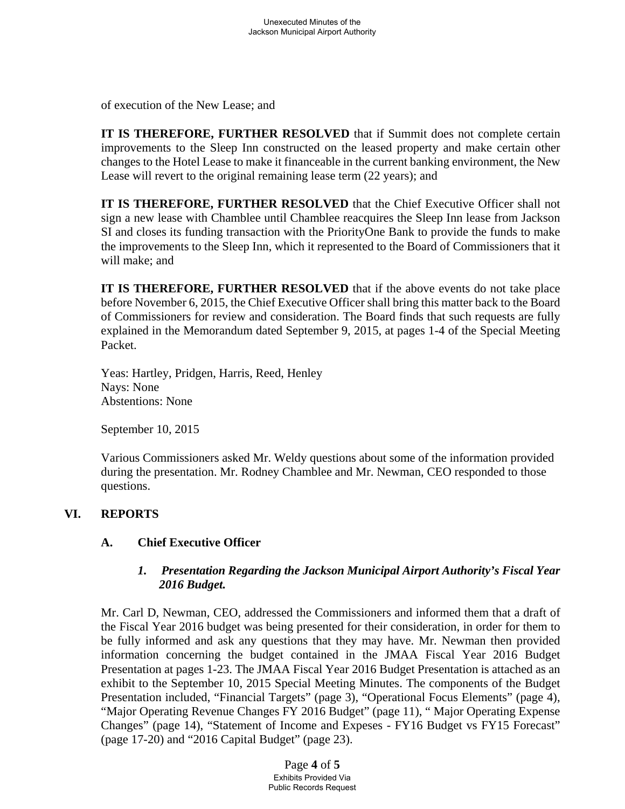of execution of the New Lease; and

**IT IS THEREFORE, FURTHER RESOLVED** that if Summit does not complete certain improvements to the Sleep Inn constructed on the leased property and make certain other changes to the Hotel Lease to make it financeable in the current banking environment, the New Lease will revert to the original remaining lease term (22 years); and

**IT IS THEREFORE, FURTHER RESOLVED** that the Chief Executive Officer shall not sign a new lease with Chamblee until Chamblee reacquires the Sleep Inn lease from Jackson SI and closes its funding transaction with the PriorityOne Bank to provide the funds to make the improvements to the Sleep Inn, which it represented to the Board of Commissioners that it will make; and

**IT IS THEREFORE, FURTHER RESOLVED** that if the above events do not take place before November 6, 2015, the Chief Executive Officer shall bring this matter back to the Board of Commissioners for review and consideration. The Board finds that such requests are fully explained in the Memorandum dated September 9, 2015, at pages 1-4 of the Special Meeting Packet.

Yeas: Hartley, Pridgen, Harris, Reed, Henley Nays: None Abstentions: None

September 10, 2015

Various Commissioners asked Mr. Weldy questions about some of the information provided during the presentation. Mr. Rodney Chamblee and Mr. Newman, CEO responded to those questions.

# **VI. REPORTS**

# **A. Chief Executive Officer**

## *1. Presentation Regarding the Jackson Municipal Airport Authority's Fiscal Year 2016 Budget.*

Mr. Carl D, Newman, CEO, addressed the Commissioners and informed them that a draft of the Fiscal Year 2016 budget was being presented for their consideration, in order for them to be fully informed and ask any questions that they may have. Mr. Newman then provided information concerning the budget contained in the JMAA Fiscal Year 2016 Budget Presentation at pages 1-23. The JMAA Fiscal Year 2016 Budget Presentation is attached as an exhibit to the September 10, 2015 Special Meeting Minutes. The components of the Budget Presentation included, "Financial Targets" (page 3), "Operational Focus Elements" (page 4), "Major Operating Revenue Changes FY 2016 Budget" (page 11), " Major Operating Expense Changes" (page 14), "Statement of Income and Expeses - FY16 Budget vs FY15 Forecast" (page 17-20) and "2016 Capital Budget" (page 23).

> Page **4** of **5** Exhibits Provided Via Public Records Request